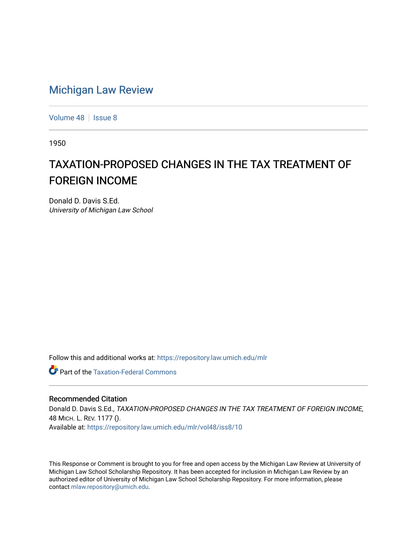# [Michigan Law Review](https://repository.law.umich.edu/mlr)

[Volume 48](https://repository.law.umich.edu/mlr/vol48) | [Issue 8](https://repository.law.umich.edu/mlr/vol48/iss8)

1950

# TAXATION-PROPOSED CHANGES IN THE TAX TREATMENT OF FOREIGN INCOME

Donald D. Davis S.Ed. University of Michigan Law School

Follow this and additional works at: [https://repository.law.umich.edu/mlr](https://repository.law.umich.edu/mlr?utm_source=repository.law.umich.edu%2Fmlr%2Fvol48%2Fiss8%2F10&utm_medium=PDF&utm_campaign=PDFCoverPages) 

**Part of the [Taxation-Federal Commons](http://network.bepress.com/hgg/discipline/881?utm_source=repository.law.umich.edu%2Fmlr%2Fvol48%2Fiss8%2F10&utm_medium=PDF&utm_campaign=PDFCoverPages)** 

## Recommended Citation

Donald D. Davis S.Ed., TAXATION-PROPOSED CHANGES IN THE TAX TREATMENT OF FOREIGN INCOME, 48 MICH. L. REV. 1177 (). Available at: [https://repository.law.umich.edu/mlr/vol48/iss8/10](https://repository.law.umich.edu/mlr/vol48/iss8/10?utm_source=repository.law.umich.edu%2Fmlr%2Fvol48%2Fiss8%2F10&utm_medium=PDF&utm_campaign=PDFCoverPages) 

This Response or Comment is brought to you for free and open access by the Michigan Law Review at University of Michigan Law School Scholarship Repository. It has been accepted for inclusion in Michigan Law Review by an authorized editor of University of Michigan Law School Scholarship Repository. For more information, please contact [mlaw.repository@umich.edu](mailto:mlaw.repository@umich.edu).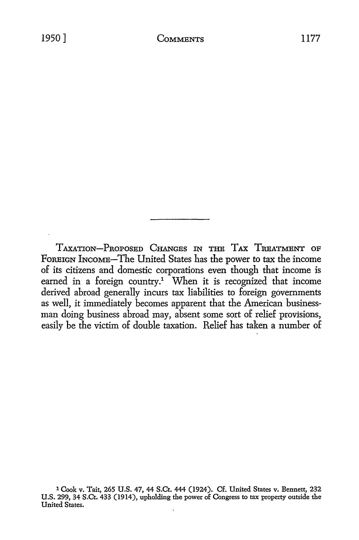TAXATION-PROPOSED CHANGES IN THE TAX TREATMENT OF FoREIGN INCOME-The United States has the power *to* tax the income of its citizens and domestic corporations even though that income is earned in a foreign country.<sup>1</sup> When it is recognized that income derived abroad generally incurs tax liabilities *to* foreign governments as well, it immediately becomes apparent that the American businessman doing business abroad may, absent some sort of relief provisions, easily be the victim of double taxation. Relief has taken a number of

<sup>1</sup> Cook v. Tait, 265 U.S. 47, 44 S.Ct. 444 (1924). Cf. United States v. Bennett, 232 U.S. 299, 34 S.Ct. 433 (1914), upholding the power of Congress to tax property outside the United States.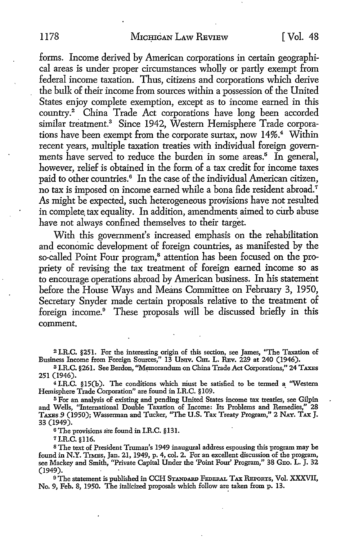forms. Income derived by American corporations in certain geographical areas is under proper circumstances wholly or partly exempt from federal income taxation. Thus, citizens and corporations which derive the bulk of their income from sources within a possession of the United States enjoy complete exemption, except as to income earned in this country.<sup>2</sup> China Trade Act corporations have long been accorded similar treatment.<sup>3</sup> Since 1942, Western Hemisphere Trade corporations have been exempt from the corporate surtax, now 14%.<sup>4</sup> Within recent years, multiple taxation treaties with individual foreign governments have served to reduce the burden in some areas.<sup>5</sup> In general, however, relief is obtained in the form of a tax credit for income taxes paid to other countries.<sup>6</sup> In the case of the individual American citizen, no tax is imposed on income earned while a bona fide resident abroad.<sup>7</sup> As might be expected, such heterogeneous provisions have not resulted in complete, tax equality. In addition, amendments aimed to curb abuse have not always confined themselves to their target.

With this government's increased emphasis on the rehabilitation and economic development of foreign countries, as manifested by the so-called Point Four program,<sup>8</sup> attention has been focused on the propriety of revising the tax treatment of foreign earned income so as to encourage operations abroad by American business. In his statement before the House Ways and Means Committee on February 3, 1950, Secretary Snyder made certain proposals relative to the treatment of foreign income.<sup>9</sup> These proposals will be discussed briefly in this comment.

<sup>2</sup>I.R.C. §251. For the interesting origin of this section, see James, "The Taxation of Business Income from Foreign Sources," 13 UNIV. CHI. L. REV. 229 at 240 (1946).

<sup>3</sup>I.R.C. §261. See Berdon, "Memorandum on China Trade Act Corporations," 24 TAXES 251 (1946).

<sup>4</sup>I.R.C. §l5(b). The conditions which niust be satisfied to be termed a ''Western Hemisphere Trade Corporation" are found in I.R.C. §109. ·

<sup>5</sup>For an analysis of existing and pending United States income tax treaties, see Gilpin and Wells, ''International Double Taxation of Income: Its Problems and Remedies," 28 TAXES *9* (1950); Wasserman and Tucker, "The U.S. Tax Treaty Program," 2 NAT. TAX J. 33 (1949).

<sup>6</sup>The provisions are found in I.R.C. §131.

*<sup>1</sup>*I.R.C. §ll6.

<sup>8</sup>The text of President Truman's 1949 inaugural address espousing this program may be found in N.Y. TIMES, Jan. 21, 1949, p. 4, col. 2. For an excellent discussion of the program, see Mackey and Smith, "Private Capital Under the 'Point Four' Program," 38 GEo. L. J. 32 (1949).

9 The statement is published in CCH STANDARD FEDERAL TAX REPORTS, Vol. XXXVII, No. 9, Feb. 8, 1950. The italicized proposals which follow are taken from p. 13.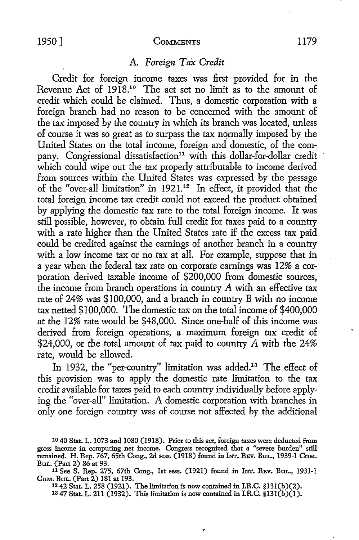## A. *Foreign Tax Credit*

Credit for foreign income taxes was first provided for in the Revenue Act of 1918.10 The act set no limit as to the amount of credit which could be claimed. Thus, a domestic corporation with a foreign branch had no reason to be concerned with the amount of the tax imposed by the country in which its branch was located, unless of course it was so great as to surpass the tax normally imposed by the United States on the total income, foreign and domestic, of the company. Congressional dissatisfaction<sup>11</sup> with this dollar-for-dollar credit which could wipe out the tax properly attributable to income derived from sources within the United States was expressed by the passage of the "over-all limitation" in 1921.12 In effect, it provided that the total foreign income tax credit could not exceed the product obtained by applying the domestic tax rate to the total foreign income. It was still possible, however, to obtain full credit for taxes paid to a country with a rate higher than the United States rate if the excess tax paid could be credited against the earnings of another branch in a country with a low income tax or no tax at all. For example, suppose that in a year when the federal tax rate on corporate earnings was 12% a corporation derived taxable income of \$200,000 from domestic sources, the income from branch operations in country A with an effective tax rate of 24% was \$100,000, and a branch in country B with no income tax netted \$100,000. The domestic tax on the total income of \$400,000 at the 12% rate would be \$48,000. Since one-half of this income was derived from foreign operations, a maximum foreign tax credit of \$24,000, or the total amount of tax paid to country A with the 24% rate, would be allowed.

In 1932, the "per-country" limitation was added.<sup>13</sup> The effect of this provision was to apply the domestic rate limitation to the tax credit available for taxes paid to each country individually before applying the "over-all" limitation. A domestic corporation with branches in only one foreign country was of course not affected by the additional

<sup>12</sup>42 Stat. L. 258 (1921). The limitation is now contained in I.R.C. §l3l(b)(2).

<sup>13</sup> 47 Stat. L. 211 (1932). This limitation is now contained in I.R.C.  $$131(b)(1)$ .

<sup>10 40</sup> Stat. L. 1073 and 1080 (1918). Prior to this act, foreign taxes were deducted from gross income in computing net income. Congress recognized that a "severe burden" still remained. H. Rep. 767, 65th Cong., 2d sess. (1918) found in INT. REv. BuL., 1939-1 Cum. BuL. (Part 2) 86 at 93.

<sup>11</sup> See S. Rep. 275, 67th Cong., 1st sess. (1921) found in INT. REV. BuL., 1931-1 CuM. BUL. (Part 2) 181 at 193.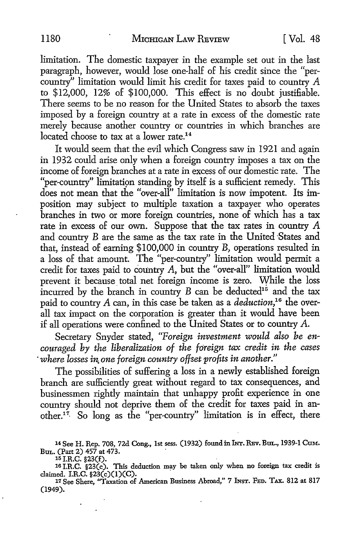limitation. The domestic taxpayer in the example set out in the last paragraph, however, would lose one-half of his credit since the "percountry" limitation would limit his credit for taxes paid to country  $A$ to \$12,000, 12% of \$100,000. This effect is no doubt justifiable. There seems to be no reason for the United States to absorb the taxes imposed by a foreign country at a rate in excess of the domestic rate merely because another country or countries in which branches are located choose to tax at a lower rate.<sup>14</sup>

It would seem that the evil which Congress saw in 1921 and again in 1932 could arise only when a foreign country imposes a tax on the income of foreign branches at a rate in excess of our domestic rate. The "per-country" limitation standing by itself is a sufficient remedy. This does not mean that the "over-all" limitation is now impotent. Its imposition may subject to multiple taxation a taxpayer who operates branches in two or more foreign countries, none of which has a tax rate in excess of our own. Suppose that the tax rates in country A and country B are the same as the tax rate in the United States and that, instead of earning \$100,000 in country B, operations resulted in a loss of that amount. The "per-country" limitation would permit a credit for taxes paid to country A, but the "over-all" limitation would prevent it because total net foreign income is zero. While the loss incurred by the branch in country  $B$  can be deducted<sup>15</sup> and the tax paid to country *A* can, in this case be taken as a *deduction,16* the overall tax impact on the corporation is greater than it would have been if all operations were confined to the United States or to country A.

Secretary Snyder stated, *"Foreign investment would also be encouraged by the liberalization of the foreign tax credit in the cases*  · *where losses in. one foreign country offset profits in another."* 

The possibilities of suffering a loss in a newly established foreign branch are sufficiently great without regard to tax consequences, and businessmen rightly maintain that unhappy profit experience in one country should not deprive them of the credit for taxes paid in another.<sup>17</sup> So long as the "per-country" limitation is in effect, there

<sup>14</sup>See H. Rep. 708, 72d Cong., 1st sess. (1932) found in INT. REv. BUL., 1939-1 CuM. Bul. (Part 2)  $457$  at  $473$ .<br>15 I.R.C. §23(f).

15 I.R.C. §23(f). This deduction may be taken only when no foreign tax credit is 16 I.R.C. §23(c). This deduction may be taken only when no foreign tax credit is

claimed. I.R.C. §23(c)(I)(C). 17 See Shere, "Taxation of American Business Abroad," 7 INST. FED. TAX. 812 at 817 (1949).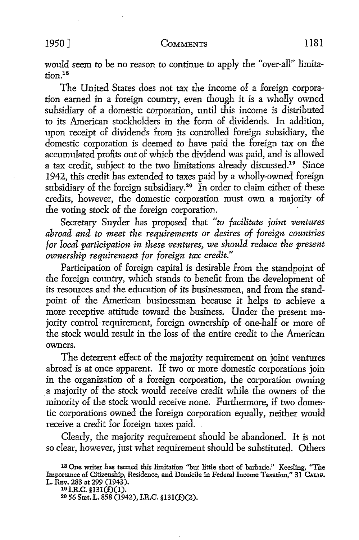would seem *to* be no reason *to* continue *to* apply the "over-all" limita $t$ <sub>i</sub>  $t$ <sup>18</sup>

The United States does not tax the income of a foreign corporation earned in a foreign country, even though it is a wholly owned subsidiary of a domestic corporation, until this income is distributed to its American stockholders in the form of dividends. In addition, upon receipt of dividends from its controlled foreign subsidiary, the domestic corporation is deemed to have paid the foreign tax on the accumulated profits out of which the dividend was paid, and is allowed a tax credit, subject to the two limitations already discussed.19 Since 1942, this credit has extended to taxes paid by a wholly-owned foreign subsidiary of the foreign subsidiary.<sup>20</sup> In order to claim either of these credits, however, the domestic corporation must own a majority of the voting stock of the foreign corporation.

Secretary Snyder has proposed that *"to facilitate joint ventures abroad and to meet the requirements or desires of foreign countries for local participation in these ventures, we should reduce the present ownership requirement for foreign tax credit."* 

Participation of foreign capital is desirable from the standpoint of the foreign country, which stands to benefit from the development of its resources and the education of its businessmen, and from the standpoint of the American businessman because it helps to achieve a more receptive attitude toward the business. Under the present majority control· requirement, foreign ownership of one-half or more of the stock would result in the loss of the entire credit to the American owners.

The deterrent effect of the majority requirement on joint ventures abroad is at once apparent. If two or more domestic corporations join in the organization of a foreign corporation, the corporation owning .a majority of the stock would receive credit while the owners of the minority of the stock would receive none. Furthermore, if two domestic corporations owned the foreign corporation equally, neither would receive a credit for foreign taxes paid. .

Clearly, the majority requirement should be abandoned. It is not so clear, however, just what requirement should be substituted. Others

is One writer has termed this limitation ''but little short of barbaric." Keesling, "The Importance of Citizenship, Residence, and Domicile in Federal Income Taxation," 31 CALIF. L. REv. 283 at 299 (1943).<br><sup>19</sup> I.R.C. §131(f)(1).

<sup>20 56</sup> Stat. L. 858 (1942), I.R.C. §131(f)(2).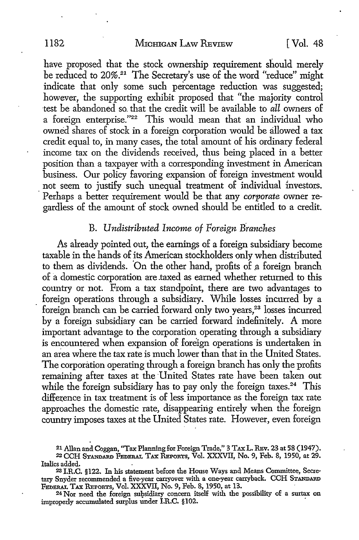have proposed that the stock ownership requirement should merely be reduced to 20%.<sup>21</sup> The Secretary's use of the word "reduce" might indicate that only some such percentage reduction was suggested; however, the supporting exhibit proposed that "the majority control test be abandoned so. that the credit will be available to *all* owners of a foreign enterprise."22 This would mean that an individual who owned shares of stock in a foreign corporation would be allowed a tax credit equal to, in many cases, the total amount of his ordinary federal income tax on the dividends received, thus being placed in a better position than a taxpayer with a corresponding investment in American business. Our policy favoring expansion of foreign investment would not seem to justify such unequal treatment of individual investors. · Perhaps a better requirement would be that any *corporate* owner regardless of the amount of stock owned should be entitled to a credit.

# B. *Undistributed Income of Foreign Branches*

As already pointed out, the earnings of a foreign subsidiary become taxable in the hands of its American stockholders only when distributed to them as dividends. On the other hand, profits of a foreign branch of a domestic corporation are .taxed as earned whether returned to this country or not. From a tax standpoint, there are two advantages to foreign operations through a subsidiary. While losses incurred by a foreign branch can be carried forward only two years,<sup>23</sup> losses incurred by a foreign subsidiary can be carried forward indefinitely. A more important advantage to the corporation operating through a subsidiary is encountered when expansion of foreign operations is undertaken in an area where the tax rate is much lower than that in the United States. The corporation operating through a foreign branch has only the profits remaining after taxes at the United States rate have been taken out while the foreign subsidiary has to pay only the foreign taxes. $24$  This difference in tax treatment is of less importance as the foreign tax rate approaches the domestic rate, disappearing entirely when the foreign country imposes taxes at the United States rate. However, even foreign

24 Nor need the foreign subsidiary concern itself with the possibility of a surtax on improperly accumulated surplus under I.R.C. §102.

<sup>21</sup> Allan and Coggan, "Tax Planning for Foreign Trade," 3 TAx L. REv. 23 at 58 (1947).

<sup>&</sup>lt;sup>22</sup> CCH Standard Federal Tax Reports, Vol. XXXVII, No. 9, Feb. 8, 1950, at 29. Italics added. .

<sup>2</sup>s I.R.C. §122. In his statement before the House Ways and Means Committee, Secretary Snyder recommended a five-year carryover with a one-year carryback. CCH STANDARD FEDERAL TAX REPORTS, Vol. XXXVII, No. 9, Feb. 8, 1950, at 13.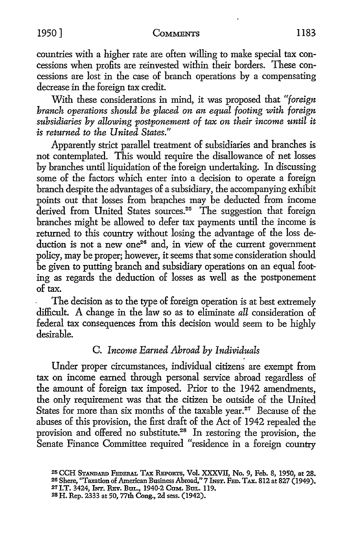countries with a higher rate are often willing to make special tax concessions when profits are reinvested within their borders. These concessions are lost in the case of branch operations by a compensating decrease in the foreign tax credit.

With these considerations in mind, it was proposed that *"foreign branch operations should be placed on an equal footing with foreign subsidiaries by allowing postponement of tax on their income until it is returned to the United States."* 

Apparently strict parallel treatment of subsidiaries and branches is not contemplated. This would require the disallowance of net losses by branches until liquidation of the foreign undertaking. In discussing some of the factors which enter into a decision to operate a foreign branch despite the advantages of a subsidiary, the accompanying exhibit points out that losses from branches may be deducted from income derived from United States sources.<sup>25</sup> The suggestion that foreign branches might be allowed to defer tax payments until the income is returned to this country without losing the advantage of the loss deduction is not a new one<sup>26</sup> and, in view of the current government policy, may be proper; however, it seems that some consideration should be given to putting branch and subsidiary operations on an equal footing as regards the deduction of losses as well as the postponement of tax.

The decision as to the type of foreign operation is at best extremely difficult. A change in the law so as to eliminate *all* consideration of federal tax consequences from this decision would seem to be highly desirable.

# C. *Income Earned Abroad by Individuals*

Under proper circumstances, individual citizens are exempt from tax on income earned through personal service abroad regardless of the amount of foreign tax imposed. Prior to the 1942 amendments, the only requirement was that the citizen be outside of the United States for more than six months of the taxable year.<sup>27</sup> Because of the abuses of this provision, the first draft of the Act of 1942 repealed the provision and offered no substitute.<sup>28</sup> In restoring the provision, the Senate Finance Committee required "residence in a foreign country

<sup>&</sup>lt;sup>25</sup> CCH STANDARD FEDERAL TAX REPORTS, Vol. XXXVII, No. 9, Feb. 8, 1950, at 28. 26 Shere, "Taxation of American Business Abroad," 7 INST. FED. TAX. 812 at 827 (1949). 27 I.T. 3424, INT. REv. BUL., 1940-2 COM. BUL. 119.

<sup>28</sup> H. Rep. 2333 at 50, 77th Cong., 2d sess. (1942).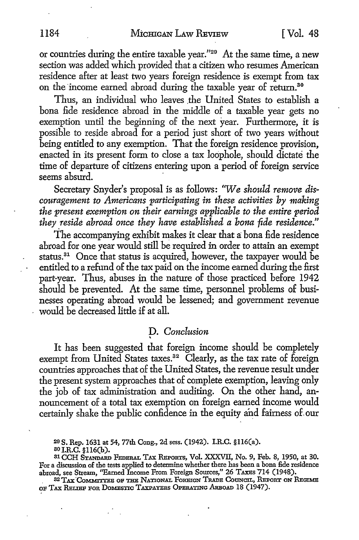or countries during the entire taxable year."29 At the same time, a new section was added which provided that a citizen who resumes American residence after at least two years foreign residence is exempt from tax on the income earned abroad during the taxable year of return.<sup>30</sup>

Thus, an individual who leaves the United States to establish a bona fide residence abroad in the middle of a taxable year gets no exemption until the beginning of the next year. Furthermore, it is possible to reside abroad for a period just short of two years without being entitled to any exemption. That the foreign residence provision, enacted in its present form to close a tax loophole, should dictate the time of departure of citizens entering upon a period of foreign service seems absurd.

Secretary Snyder's proposal is as follows: *'We should remove discouragement to Americans participating in these activities by making the present exemption on their earnings applicable to the entire period*  they reside abroad once they have established a bona fide residence."

The accompanying exhibit makes it clear that a bona fide residence abroad for one year would still be required in order to attain an exempt status. $31$  Once that status is acquired, however, the taxpayer would be entitled to a refund of the tax paid on the income earned during the first part-year. Thus, abuses in the nature of those practiced before 1942 should be prevented. At the same time, personnel problems of businesses operating abroad would be lessened; and government revenue would be decreased little if at all.

# D. *Conclusion*

' It has been suggested that foreign income should be completely exempt from United States taxes.<sup>32</sup> Clearly, as the tax rate of foreign countries approaches that of the United States, the revenue result under the present system approaches that of complete exemption, leaving only the job of tax administration and auditing. On the other hand, announcement of a total tax exemption on foreign earned income would certainly shake the public confidence in the equity and fairness of. our

29 S. Rep. 1631 at 54, 77th Cong., 2d sess. (1942). I.R.C. §ll6(a).

so I.R.C. §ll6(b).

<sup>31</sup> CCH STANDARD FEDERAL TAX REPORTS, Vol. XXXVII, No. 9, Feb. 8, 1950, at 30. For a discussion of the tests applied to determine whether there has been a bona fide residence abroad, see Stream, ''Earned Income From Foreign Sources," 26 T.AXEs 714 (1948).

<sup>32</sup> TAX COMMITTEE OF THE NATIONAL FOREIGN TRADE COUNCIL, REPORT ON REGIME OF TAX RELIEF FOR DOMESTIC TAXPAYERS OPERATING ARBOAD 18 (1947).